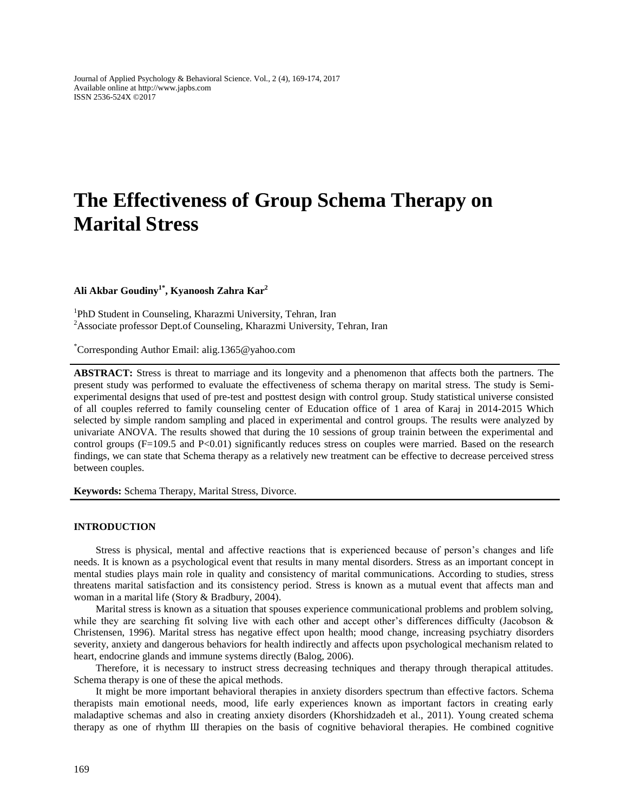Journal of Applied Psychology & Behavioral Science. Vol., 2 (4), 169-174, 2017 Available online at http://www.japbs.com ISSN 2536-524X ©2017

# **The Effectiveness of Group Schema Therapy on Marital Stress**

**Ali Akbar Goudiny1\* , Kyanoosh Zahra Kar<sup>2</sup>**

<sup>1</sup>PhD Student in Counseling, Kharazmi University, Tehran, Iran <sup>2</sup>Associate professor Dept.of Counseling, Kharazmi University, Tehran, Iran

\*Corresponding Author Email: al[ig.1365@yahoo.com](mailto:g.1365@yahoo.com)

**ABSTRACT:** Stress is threat to marriage and its longevity and a phenomenon that affects both the partners. The present study was performed to evaluate the effectiveness of schema therapy on marital stress. The study is Semiexperimental designs that used of pre-test and posttest design with control group. Study statistical universe consisted of all couples referred to family counseling center of Education office of 1 area of Karaj in 2014-2015 Which selected by simple random sampling and placed in experimental and control groups. The results were analyzed by univariate ANOVA. The results showed that during the 10 sessions of group trainin between the experimental and control groups  $(F=109.5 \text{ and } P<0.01)$  significantly reduces stress on couples were married. Based on the research findings, we can state that Schema therapy as a relatively new treatment can be effective to decrease perceived stress between couples.

**Keywords:** Schema Therapy, Marital Stress, Divorce.

#### **INTRODUCTION**

Stress is physical, mental and affective reactions that is experienced because of person's changes and life needs. It is known as a psychological event that results in many mental disorders. Stress as an important concept in mental studies plays main role in quality and consistency of marital communications. According to studies, stress threatens marital satisfaction and its consistency period. Stress is known as a mutual event that affects man and woman in a marital life (Story & Bradbury, 2004).

Marital stress is known as a situation that spouses experience communicational problems and problem solving, while they are searching fit solving live with each other and accept other's differences difficulty (Jacobson & Christensen, 1996). Marital stress has negative effect upon health; mood change, increasing psychiatry disorders severity, anxiety and dangerous behaviors for health indirectly and affects upon psychological mechanism related to heart, endocrine glands and immune systems directly (Balog, 2006).

Therefore, it is necessary to instruct stress decreasing techniques and therapy through therapical attitudes. Schema therapy is one of these the apical methods.

It might be more important behavioral therapies in anxiety disorders spectrum than effective factors. Schema therapists main emotional needs, mood, life early experiences known as important factors in creating early maladaptive schemas and also in creating anxiety disorders (Khorshidzadeh et al., 2011). Young created schema therapy as one of rhythm Ш therapies on the basis of cognitive behavioral therapies. He combined cognitive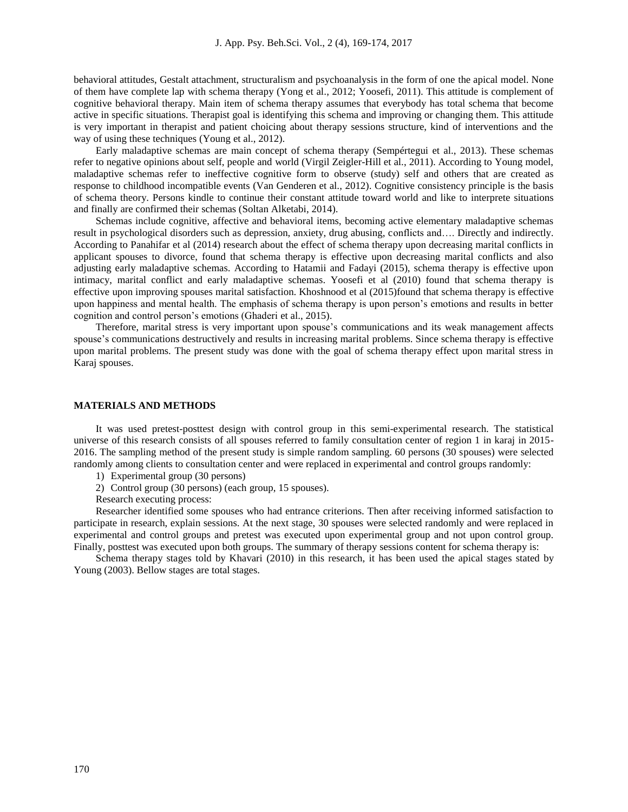behavioral attitudes, Gestalt attachment, structuralism and psychoanalysis in the form of one the apical model. None of them have complete lap with schema therapy (Yong et al., 2012; Yoosefi, 2011). This attitude is complement of cognitive behavioral therapy. Main item of schema therapy assumes that everybody has total schema that become active in specific situations. Therapist goal is identifying this schema and improving or changing them. This attitude is very important in therapist and patient choicing about therapy sessions structure, kind of interventions and the way of using these techniques (Young et al., 2012).

Early maladaptive schemas are main concept of schema therapy (Sempértegui et al., 2013). These schemas refer to negative opinions about self, people and world (Virgil Zeigler-Hill et al., 2011). According to Young model, maladaptive schemas refer to ineffective cognitive form to observe (study) self and others that are created as response to childhood incompatible events (Van Genderen et al., 2012). Cognitive consistency principle is the basis of schema theory. Persons kindle to continue their constant attitude toward world and like to interprete situations and finally are confirmed their schemas (Soltan Alketabi, 2014).

Schemas include cognitive, affective and behavioral items, becoming active elementary maladaptive schemas result in psychological disorders such as depression, anxiety, drug abusing, conflicts and…. Directly and indirectly. According to Panahifar et al (2014) research about the effect of schema therapy upon decreasing marital conflicts in applicant spouses to divorce, found that schema therapy is effective upon decreasing marital conflicts and also adjusting early maladaptive schemas. According to Hatamii and Fadayi (2015), schema therapy is effective upon intimacy, marital conflict and early maladaptive schemas. Yoosefi et al (2010) found that schema therapy is effective upon improving spouses marital satisfaction. Khoshnood et al (2015)found that schema therapy is effective upon happiness and mental health. The emphasis of schema therapy is upon person's emotions and results in better cognition and control person's emotions (Ghaderi et al., 2015).

Therefore, marital stress is very important upon spouse's communications and its weak management affects spouse's communications destructively and results in increasing marital problems. Since schema therapy is effective upon marital problems. The present study was done with the goal of schema therapy effect upon marital stress in Karaj spouses.

## **MATERIALS AND METHODS**

It was used pretest-posttest design with control group in this semi-experimental research. The statistical universe of this research consists of all spouses referred to family consultation center of region 1 in karaj in 2015- 2016. The sampling method of the present study is simple random sampling. 60 persons (30 spouses) were selected randomly among clients to consultation center and were replaced in experimental and control groups randomly:

- 1) Experimental group (30 persons)
- 2) Control group (30 persons) (each group, 15 spouses).
- Research executing process:

Researcher identified some spouses who had entrance criterions. Then after receiving informed satisfaction to participate in research, explain sessions. At the next stage, 30 spouses were selected randomly and were replaced in experimental and control groups and pretest was executed upon experimental group and not upon control group. Finally, posttest was executed upon both groups. The summary of therapy sessions content for schema therapy is:

Schema therapy stages told by Khavari (2010) in this research, it has been used the apical stages stated by Young (2003). Bellow stages are total stages.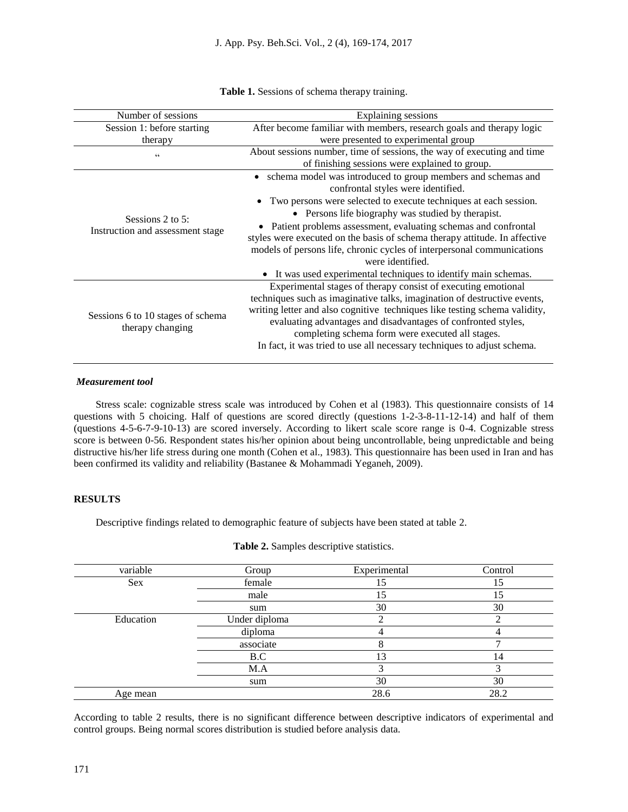| Number of sessions                                        | Explaining sessions                                                                                                                                                                                                                                                                                                                                                                                                                                                              |
|-----------------------------------------------------------|----------------------------------------------------------------------------------------------------------------------------------------------------------------------------------------------------------------------------------------------------------------------------------------------------------------------------------------------------------------------------------------------------------------------------------------------------------------------------------|
| Session 1: before starting                                | After become familiar with members, research goals and therapy logic                                                                                                                                                                                                                                                                                                                                                                                                             |
| therapy                                                   | were presented to experimental group                                                                                                                                                                                                                                                                                                                                                                                                                                             |
| C                                                         | About sessions number, time of sessions, the way of executing and time<br>of finishing sessions were explained to group.                                                                                                                                                                                                                                                                                                                                                         |
| Sessions $2$ to $5$ :<br>Instruction and assessment stage | • schema model was introduced to group members and schemas and<br>confrontal styles were identified.<br>• Two persons were selected to execute techniques at each session.<br>• Persons life biography was studied by therapist.<br>• Patient problems assessment, evaluating schemas and confrontal<br>styles were executed on the basis of schema therapy attitude. In affective<br>models of persons life, chronic cycles of interpersonal communications<br>were identified. |
|                                                           | It was used experimental techniques to identify main schemas.                                                                                                                                                                                                                                                                                                                                                                                                                    |
| Sessions 6 to 10 stages of schema<br>therapy changing     | Experimental stages of therapy consist of executing emotional<br>techniques such as imaginative talks, imagination of destructive events,<br>writing letter and also cognitive techniques like testing schema validity,<br>evaluating advantages and disadvantages of confronted styles,<br>completing schema form were executed all stages.<br>In fact, it was tried to use all necessary techniques to adjust schema.                                                          |

**Table 1.** Sessions of schema therapy training.

## *Measurement tool*

Stress scale: cognizable stress scale was introduced by Cohen et al (1983). This questionnaire consists of 14 questions with 5 choicing. Half of questions are scored directly (questions 1-2-3-8-11-12-14) and half of them (questions 4-5-6-7-9-10-13) are scored inversely. According to likert scale score range is 0-4. Cognizable stress score is between 0-56. Respondent states his/her opinion about being uncontrollable, being unpredictable and being distructive his/her life stress during one month (Cohen et al., 1983). This questionnaire has been used in Iran and has been confirmed its validity and reliability (Bastanee & Mohammadi Yeganeh, 2009).

#### **RESULTS**

Descriptive findings related to demographic feature of subjects have been stated at table 2.

| variable   | Group         | Experimental | Control |
|------------|---------------|--------------|---------|
| <b>Sex</b> | female        | l5           | 15      |
|            | male          | .5           | 15      |
|            | sum           | 30           | 30      |
| Education  | Under diploma |              | ◠       |
|            | diploma       |              |         |
|            | associate     |              |         |
|            | B.C           | 13           | 14      |
|            | M.A           |              |         |
|            | sum           | 30           | 30      |
| Age mean   |               | 28.6         | 28.2    |

**Table 2.** Samples descriptive statistics.

According to table 2 results, there is no significant difference between descriptive indicators of experimental and control groups. Being normal scores distribution is studied before analysis data.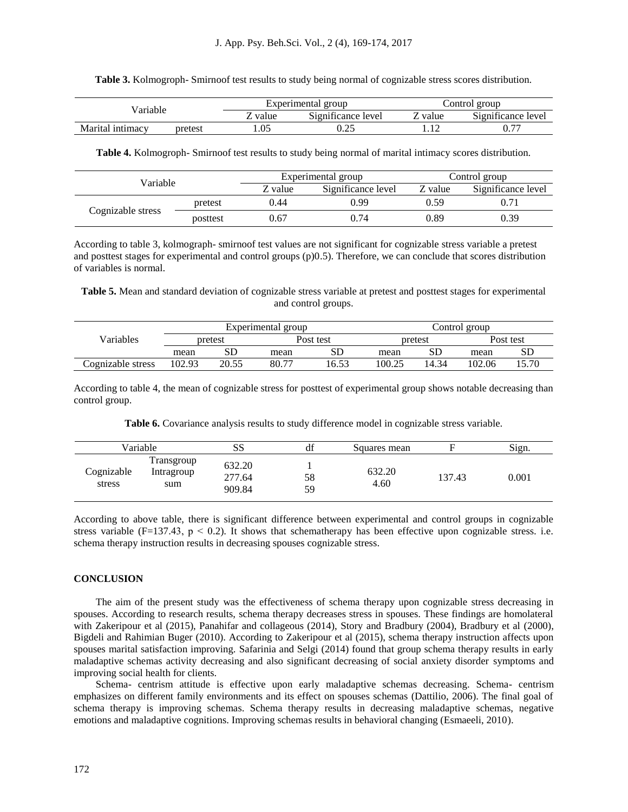| Table 3. Kolmogroph- Smirnoof test results to study being normal of cognizable stress scores distribution. |  |  |  |
|------------------------------------------------------------------------------------------------------------|--|--|--|
|                                                                                                            |  |  |  |

|                                |       | Experimental group                                          | Control<br>group           |                                                |  |
|--------------------------------|-------|-------------------------------------------------------------|----------------------------|------------------------------------------------|--|
| 'arıable                       | value | $\cdot$ $\sim$<br>$\sim$<br>Significance<br>≅level<br>value |                            | $\cdot$ $\sim$<br>$\sim$<br>Significance level |  |
| Marital<br>pretest<br>intimacy | .05   | $\sim$ $\epsilon$<br>ت کے دل                                | 1 <sub>0</sub><br>$\ldots$ | $\overline{\phantom{m}}$<br>U.7                |  |

**Table 4.** Kolmogroph- Smirnoof test results to study being normal of marital intimacy scores distribution.

| Variable          |          |         | Experimental group | Control group                 |      |
|-------------------|----------|---------|--------------------|-------------------------------|------|
|                   |          | Z value | Significance level | Significance level<br>Z value |      |
|                   | pretest  | 0.44    | 0.99               | 0.59                          |      |
| Cognizable stress | posttest | ).67    | 0.74               | 0.89                          | 0.39 |

According to table 3, kolmograph- smirnoof test values are not significant for cognizable stress variable a pretest and posttest stages for experimental and control groups (p)0.5). Therefore, we can conclude that scores distribution of variables is normal.

**Table 5.** Mean and standard deviation of cognizable stress variable at pretest and posttest stages for experimental and control groups.

|                   | Experimental group |             |       |           | Control group |         |        |           |  |
|-------------------|--------------------|-------------|-------|-----------|---------------|---------|--------|-----------|--|
| Variables         |                    | pretest     |       | Post test |               | pretest |        | Post test |  |
|                   | mean               | $_{\rm SD}$ | mean  | SD        | mean          | SГ      | mean   | SD        |  |
| Cognizable stress | 102.93             | 20.55       | 80.77 | 16.53     | 100.25        | 14.34   | 102.06 | 15.70     |  |

According to table 4, the mean of cognizable stress for posttest of experimental group shows notable decreasing than control group.

Table 6. Covariance analysis results to study difference model in cognizable stress variable.

|                      | Variable                        | ΩΩ<br>55                   | 10 <sup>o</sup><br>đt | Squares mean   |        | Sign. |
|----------------------|---------------------------------|----------------------------|-----------------------|----------------|--------|-------|
| Cognizable<br>stress | Transgroup<br>Intragroup<br>sum | 632.20<br>277.64<br>909.84 | 58<br>59              | 632.20<br>4.60 | 137.43 | 0.001 |

According to above table, there is significant difference between experimental and control groups in cognizable stress variable (F=137.43,  $p < 0.2$ ). It shows that schematherapy has been effective upon cognizable stress, i.e. schema therapy instruction results in decreasing spouses cognizable stress.

#### **CONCLUSION**

The aim of the present study was the effectiveness of schema therapy upon cognizable stress decreasing in spouses. According to research results, schema therapy decreases stress in spouses. These findings are homolateral with Zakeripour et al (2015), Panahifar and collageous (2014), Story and Bradbury (2004), Bradbury et al (2000), Bigdeli and Rahimian Buger (2010). According to Zakeripour et al (2015), schema therapy instruction affects upon spouses marital satisfaction improving. Safarinia and Selgi (2014) found that group schema therapy results in early maladaptive schemas activity decreasing and also significant decreasing of social anxiety disorder symptoms and improving social health for clients.

Schema- centrism attitude is effective upon early maladaptive schemas decreasing. Schema- centrism emphasizes on different family environments and its effect on spouses schemas (Dattilio, 2006). The final goal of schema therapy is improving schemas. Schema therapy results in decreasing maladaptive schemas, negative emotions and maladaptive cognitions. Improving schemas results in behavioral changing (Esmaeeli, 2010).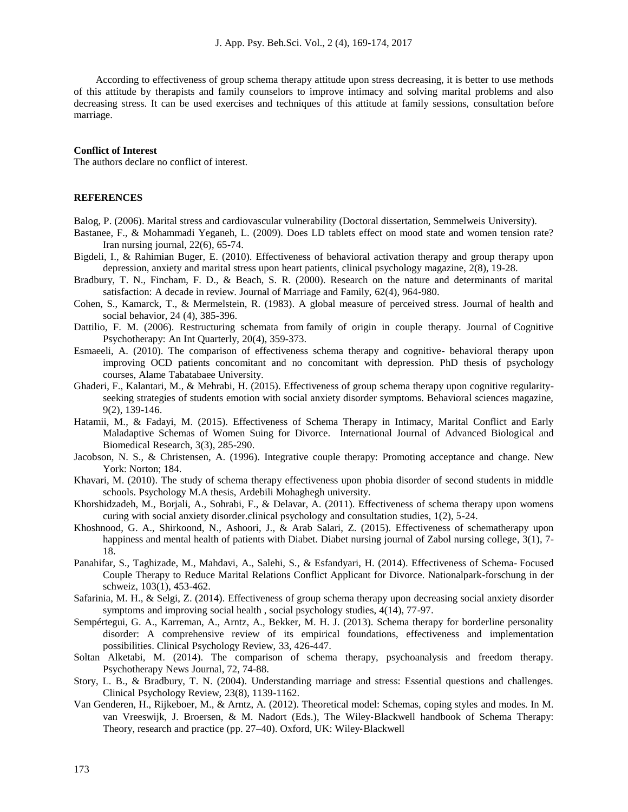According to effectiveness of group schema therapy attitude upon stress decreasing, it is better to use methods of this attitude by therapists and family counselors to improve intimacy and solving marital problems and also decreasing stress. It can be used exercises and techniques of this attitude at family sessions, consultation before marriage.

#### **Conflict of Interest**

The authors declare no conflict of interest.

## **REFERENCES**

- Balog, P. (2006). Marital stress and cardiovascular vulnerability (Doctoral dissertation, Semmelweis University).
- Bastanee, F., & Mohammadi Yeganeh, L. (2009). Does LD tablets effect on mood state and women tension rate? Iran nursing journal, 22(6), 65-74.
- Bigdeli, I., & Rahimian Buger, E. (2010). Effectiveness of behavioral activation therapy and group therapy upon depression, anxiety and marital stress upon heart patients, clinical psychology magazine, 2(8), 19-28.
- Bradbury, T. N., Fincham, F. D., & Beach, S. R. (2000). Research on the nature and determinants of marital satisfaction: A decade in review. Journal of Marriage and Family, 62(4), 964-980.
- Cohen, S., Kamarck, T., & Mermelstein, R. (1983). A global measure of perceived stress. Journal of health and social behavior, 24 (4), 385-396.
- Dattilio, F. M. (2006). Restructuring schemata from family of origin in couple therapy. Journal of Cognitive Psychotherapy: An Int Quarterly, 20(4), 359-373.
- Esmaeeli, A. (2010). The comparison of effectiveness schema therapy and cognitive- behavioral therapy upon improving OCD patients concomitant and no concomitant with depression. PhD thesis of psychology courses, Alame Tabatabaee University.
- Ghaderi, F., Kalantari, M., & Mehrabi, H. (2015). Effectiveness of group schema therapy upon cognitive regularityseeking strategies of students emotion with social anxiety disorder symptoms. Behavioral sciences magazine, 9(2), 139-146.
- Hatamii, M., & Fadayi, M. (2015). Effectiveness of Schema Therapy in Intimacy, Marital Conflict and Early Maladaptive Schemas of Women Suing for Divorce. International Journal of Advanced Biological and Biomedical Research, 3(3), 285-290.
- Jacobson, N. S., & Christensen, A. (1996). Integrative couple therapy: Promoting acceptance and change. New York: Norton; 184.
- Khavari, M. (2010). The study of schema therapy effectiveness upon phobia disorder of second students in middle schools. Psychology M.A thesis, Ardebili Mohaghegh university.
- Khorshidzadeh, M., Borjali, A., Sohrabi, F., & Delavar, A. (2011). Effectiveness of schema therapy upon womens curing with social anxiety disorder.clinical psychology and consultation studies, 1(2), 5-24.
- Khoshnood, G. A., Shirkoond, N., Ashoori, J., & Arab Salari, Z. (2015). Effectiveness of schematherapy upon happiness and mental health of patients with Diabet. Diabet nursing journal of Zabol nursing college, 3(1), 7-18.
- Panahifar, S., Taghizade, M., Mahdavi, A., Salehi, S., & Esfandyari, H. (2014). Effectiveness of Schema- Focused Couple Therapy to Reduce Marital Relations Conflict Applicant for Divorce. Nationalpark-forschung in der schweiz, 103(1), 453-462.
- Safarinia, M. H., & Selgi, Z. (2014). Effectiveness of group schema therapy upon decreasing social anxiety disorder symptoms and improving social health , social psychology studies, 4(14), 77-97.
- Sempértegui, G. A., Karreman, A., Arntz, A., Bekker, M. H. J. (2013). Schema therapy for borderline personality disorder: A comprehensive review of its empirical foundations, effectiveness and implementation possibilities. Clinical Psychology Review, 33, 426-447.
- Soltan Alketabi, M. (2014). The comparison of schema therapy, psychoanalysis and freedom therapy. Psychotherapy News Journal, 72, 74-88.
- Story, L. B., & Bradbury, T. N. (2004). Understanding marriage and stress: Essential questions and challenges. Clinical Psychology Review, 23(8), 1139-1162.
- Van Genderen, H., Rijkeboer, M., & Arntz, A. (2012). Theoretical model: Schemas, coping styles and modes. In M. van Vreeswijk, J. Broersen, & M. Nadort (Eds.), The Wiley-Blackwell handbook of Schema Therapy: Theory, research and practice (pp. 27–40). Oxford, UK: Wiley‐Blackwell